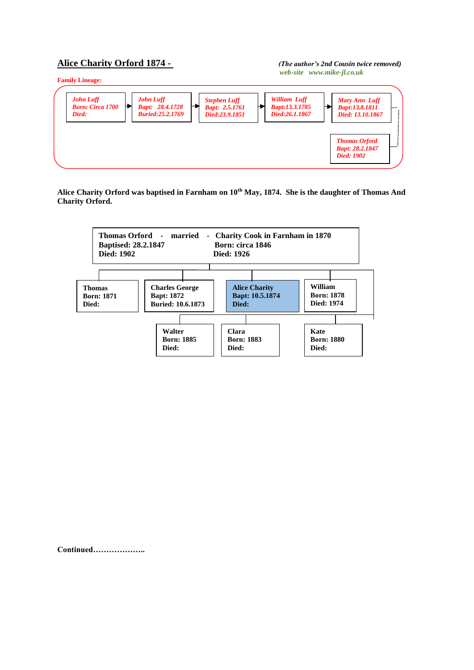## **Alice Charity Orford 1874 -** *(The author's 2nd Cousin twice removed)*

## *web-site www.mike-jl.co.uk*



**Alice Charity Orford was baptised in Farnham on 10th May, 1874. She is the daughter of Thomas And Charity Orford.**



**Continued………………..**